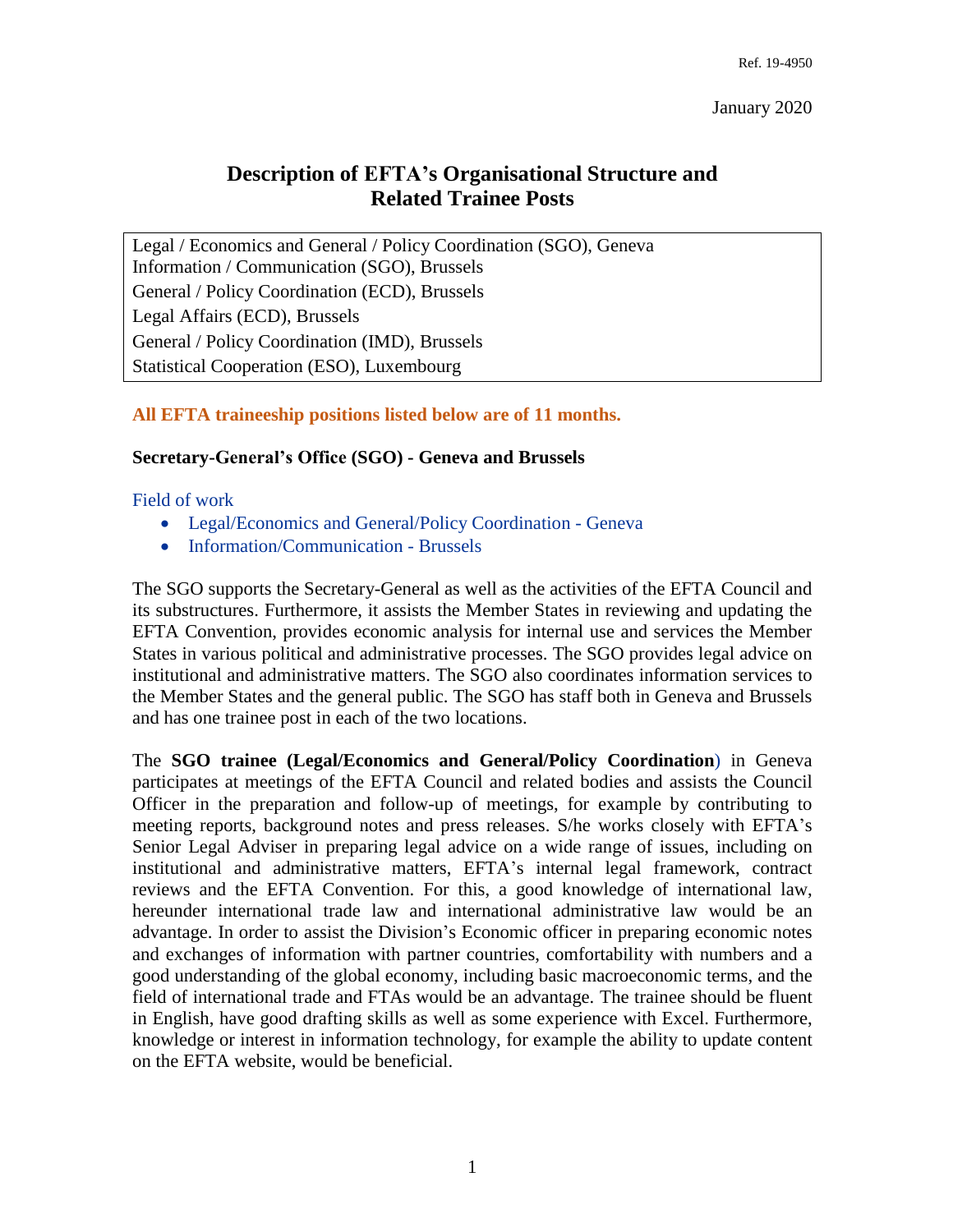# **Description of EFTA's Organisational Structure and Related Trainee Posts**

Legal / Economics and General / Policy Coordination (SGO), Geneva Information / Communication (SGO), Brussels General / Policy Coordination (ECD), Brussels Legal Affairs (ECD), Brussels General / Policy Coordination (IMD), Brussels [Statistical Cooperation](#page-1-0) (ESO), Luxembourg

# **All EFTA traineeship positions listed below are of 11 months.**

# **Secretary-General's Office (SGO) - Geneva and Brussels**

#### Field of work

- Legal/Economics and General/Policy Coordination Geneva
- Information/Communication Brussels

The SGO supports the Secretary-General as well as the activities of the EFTA Council and its substructures. Furthermore, it assists the Member States in reviewing and updating the EFTA Convention, provides economic analysis for internal use and services the Member States in various political and administrative processes. The SGO provides legal advice on institutional and administrative matters. The SGO also coordinates information services to the Member States and the general public. The SGO has staff both in Geneva and Brussels and has one trainee post in each of the two locations.

The **SGO trainee (Legal/Economics and General/Policy Coordination**) in Geneva participates at meetings of the EFTA Council and related bodies and assists the Council Officer in the preparation and follow-up of meetings, for example by contributing to meeting reports, background notes and press releases. S/he works closely with EFTA's Senior Legal Adviser in preparing legal advice on a wide range of issues, including on institutional and administrative matters, EFTA's internal legal framework, contract reviews and the EFTA Convention. For this, a good knowledge of international law, hereunder international trade law and international administrative law would be an advantage. In order to assist the Division's Economic officer in preparing economic notes and exchanges of information with partner countries, comfortability with numbers and a good understanding of the global economy, including basic macroeconomic terms, and the field of international trade and FTAs would be an advantage. The trainee should be fluent in English, have good drafting skills as well as some experience with Excel. Furthermore, knowledge or interest in information technology, for example the ability to update content on the EFTA website, would be beneficial.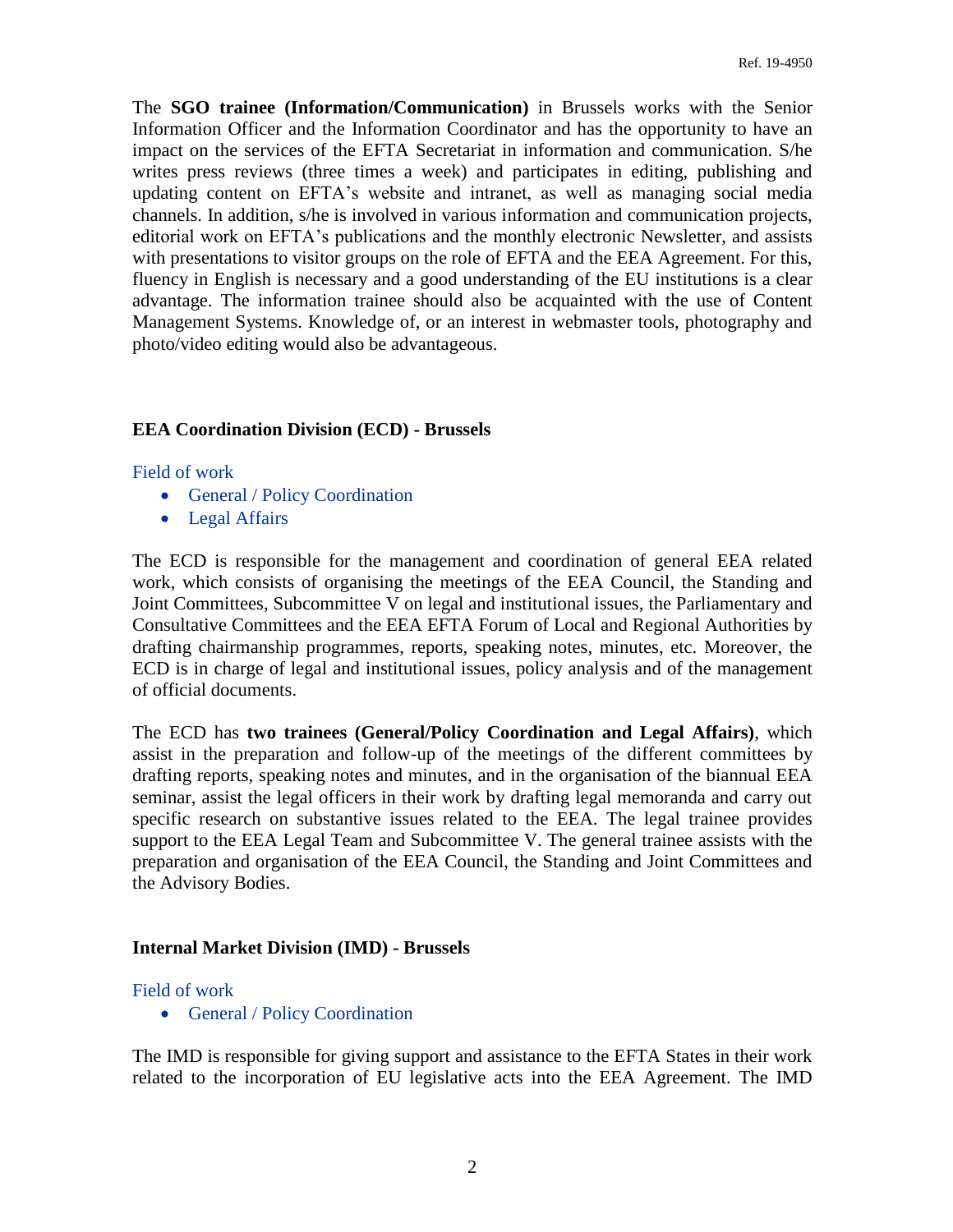The **SGO trainee (Information/Communication)** in Brussels works with the Senior Information Officer and the Information Coordinator and has the opportunity to have an impact on the services of the EFTA Secretariat in information and communication. S/he writes press reviews (three times a week) and participates in editing, publishing and updating content on EFTA's website and intranet, as well as managing social media channels. In addition, s/he is involved in various information and communication projects, editorial work on EFTA's publications and the monthly electronic Newsletter, and assists with presentations to visitor groups on the role of EFTA and the EEA Agreement. For this, fluency in English is necessary and a good understanding of the EU institutions is a clear advantage. The information trainee should also be acquainted with the use of Content Management Systems. Knowledge of, or an interest in webmaster tools, photography and photo/video editing would also be advantageous.

## **EEA Coordination Division (ECD) - Brussels**

#### Field of work

- General / Policy Coordination
- Legal Affairs

The ECD is responsible for the management and coordination of general EEA related work, which consists of organising the meetings of the EEA Council, the Standing and Joint Committees, Subcommittee V on legal and institutional issues, the Parliamentary and Consultative Committees and the EEA EFTA Forum of Local and Regional Authorities by drafting chairmanship programmes, reports, speaking notes, minutes, etc. Moreover, the ECD is in charge of legal and institutional issues, policy analysis and of the management of official documents.

The ECD has **two trainees (General/Policy Coordination and Legal Affairs)**, which assist in the preparation and follow-up of the meetings of the different committees by drafting reports, speaking notes and minutes, and in the organisation of the biannual EEA seminar, assist the legal officers in their work by drafting legal memoranda and carry out specific research on substantive issues related to the EEA. The legal trainee provides support to the EEA Legal Team and Subcommittee V. The general trainee assists with the preparation and organisation of the EEA Council, the Standing and Joint Committees and the Advisory Bodies.

## <span id="page-1-0"></span>**Internal Market Division (IMD) - Brussels**

## Field of work

• General / Policy Coordination

The IMD is responsible for giving support and assistance to the EFTA States in their work related to the incorporation of EU legislative acts into the EEA Agreement. The IMD